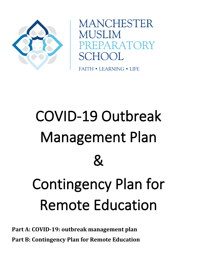

**MANCHESTER MUSLIM** PREPARATORY SCHOOL

**FAITH • LEARNING • LIFE** 

# COVID-19 Outbreak Management Plan  $\mathcal{R}_{\textbf{\textit{i}}}$ Contingency Plan for Remote Education

**Part A: COVID-19: outbreak management plan Part B: Contingency Plan for Remote Education**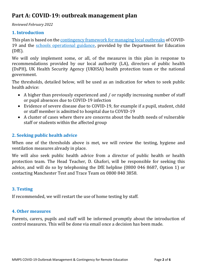# **Part A: COVID-19: outbreak management plan**

*Reviewed February 2022* 

#### **1. Introduction**

This plan is based on th[e contingency framework for managing local outbreaks](https://www.gov.uk/government/publications/coronavirus-covid-19-local-restrictions-in-education-and-childcare-settings) of COVID-19 and the [schools operational guidance,](https://www.gov.uk/government/publications/actions-for-schools-during-the-coronavirus-outbreak) provided by the Department for Education (DfE).

We will only implement some, or all, of the measures in this plan in response to recommendations provided by our local authority (LA), directors of public health (DsPH), UK Health Security Agency (UKHSA) health protection team or the national government.

The thresholds, detailed below, will be used as an indication for when to seek public health advice:

- A higher than previously experienced and / or rapidly increasing number of staff or pupil absences due to COVID-19 infection
- Evidence of severe disease due to COVID-19, for example if a pupil, student, child or staff member is admitted to hospital due to COVID-19
- A cluster of cases where there are concerns about the health needs of vulnerable staff or students within the affected group

## **2. Seeking public health advice**

When one of the thresholds above is met, we will review the testing, hygiene and ventilation measures already in place.

We will also seek public health advice from a director of public health or health protection team. The Head Teacher, D. Ghafori, will be responsible for seeking this advice, and will do so by telephoning the DfE helpline (0800 046 8687, Option 1) or contacting Manchester Test and Trace Team on 0800 840 3858.

## **3. Testing**

If recommended, we will restart the use of home testing by staff.

#### **4. Other measures**

Parents, carers, pupils and staff will be informed promptly about the introduction of control measures. This will be done via email once a decision has been made.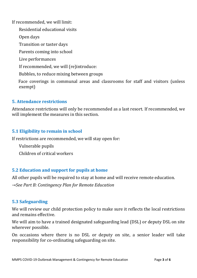If recommended, we will limit:

Residential educational visits

Open days

Transition or taster days

Parents coming into school

Live performances

If recommended, we will (re)introduce:

Bubbles, to reduce mixing between groups

Face coverings in communal areas and classrooms for staff and visitors (unless exempt)

## **5. Attendance restrictions**

Attendance restrictions will only be recommended as a last resort. If recommended, we will implement the measures in this section.

# **5.1 Eligibility to remain in school**

If restrictions are recommended, we will stay open for:

Vulnerable pupils

Children of critical workers

# **5.2 Education and support for pupils at home**

All other pupils will be required to stay at home and will receive remote education.

*→See Part B: Contingency Plan for Remote Education* 

## **5.3 Safeguarding**

We will review our child protection policy to make sure it reflects the local restrictions and remains effective.

We will aim to have a trained designated safeguarding lead (DSL) or deputy DSL on site wherever possible.

On occasions where there is no DSL or deputy on site, a senior leader will take responsibility for co-ordinating safeguarding on site.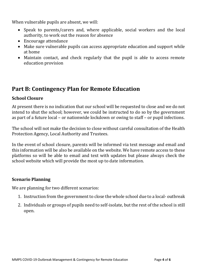When vulnerable pupils are absent, we will:

- Speak to parents/carers and, where applicable, social workers and the local authority, to work out the reason for absence
- Encourage attendance
- Make sure vulnerable pupils can access appropriate education and support while at home
- Maintain contact, and check regularly that the pupil is able to access remote education provision

# **Part B: Contingency Plan for Remote Education**

## **School Closure**

At present there is no indication that our school will be requested to close and we do not intend to shut the school; however, we could be instructed to do so by the government as part of a future local – or nationwide lockdown or owing to staff – or pupil infections.

The school will not make the decision to close without careful consultation of the Health Protection Agency, Local Authority and Trustees.

In the event of school closure, parents will be informed via text message and email and this information will be also be available on the website. We have remote access to these platforms so will be able to email and text with updates but please always check the school website which will provide the most up to date information.

## **Scenario Planning**

We are planning for two different scenarios:

- 1. Instruction from the government to close the whole school due to a local- outbreak
- 2. Individuals or groups of pupils need to self-isolate, but the rest of the school is still open.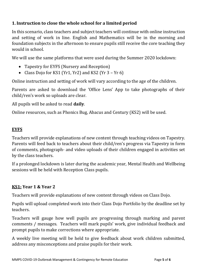# **1. Instruction to close the whole school for a limited period**

In this scenario, class teachers and subject teachers will continue with online instruction and setting of work in line. English and Mathematics will be in the morning and foundation subjects in the afternoon to ensure pupils still receive the core teaching they would in school.

We will use the same platforms that were used during the Summer 2020 lockdown:

- Tapestry for EYFS (Nursery and Reception)
- Class Dojo for KS1 (Yr1, Yr2) and KS2 (Yr 3 Yr 6)

Online instruction and setting of work will vary according to the age of the children.

Parents are asked to download the 'Office Lens' App to take photographs of their child/ren's work so uploads are clear.

All pupils will be asked to read **daily**.

Online resources, such as Phonics Bug, Abacus and Century (KS2) will be used.

# **EYFS**

Teachers will provide explanations of new content through teaching videos on Tapestry. Parents will feed back to teachers about their child/ren's progress via Tapestry in form of comments, photograph- and video uploads of their children engaged in activities set by the class teachers.

If a prolonged lockdown is later during the academic year, Mental Health and Wellbeing sessions will be held with Reception Class pupils.

# **KS1: Year 1 & Year 2**

Teachers will provide explanations of new content through videos on Class Dojo.

Pupils will upload completed work into their Class Dojo Portfolio by the deadline set by teachers.

Teachers will gauge how well pupils are progressing through marking and parent comments / messages. Teachers will mark pupils' work, give individual feedback and prompt pupils to make corrections where appropriate.

A weekly live meeting will be held to give feedback about work children submitted, address any misconceptions and praise pupils for their work.